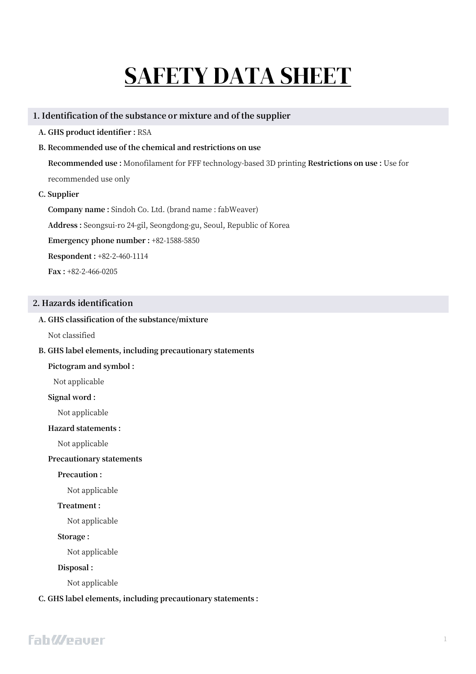# SAFETY DATA SHEET

### **1. Identification of the substance or mixture and of the supplier**

- **A. GHS product identifier :** RSA
- **B. Recommended use of the chemical and restrictions on use**

**Recommended use :** Monofilament for FFF technology-based 3D printing **Restrictions on use :** Use for recommended use only

# **C. Supplier**

**Company name :** Sindoh Co. Ltd. (brand name : fabWeaver) **Address :** Seongsui-ro 24-gil, Seongdong-gu, Seoul, Republic of Korea **Emergency phone number :** +82-1588-5850 **Respondent :** +82-2-460-1114 **Fax :** +82-2-466-0205

# **2. Hazards identification**

### **A. GHS classification of the substance/mixture**

Not classified

#### **B. GHS label elements, including precautionary statements**

#### **Pictogram and symbol :**

Not applicable

#### **Signal word :**

Not applicable

#### **Hazard statements :**

Not applicable

## **Precautionary statements**

**Precaution :** 

Not applicable

# **Treatment :**

Not applicable

#### **Storage :**

Not applicable

## **Disposal :**

Not applicable

# **C. GHS label elements, including precautionary statements :**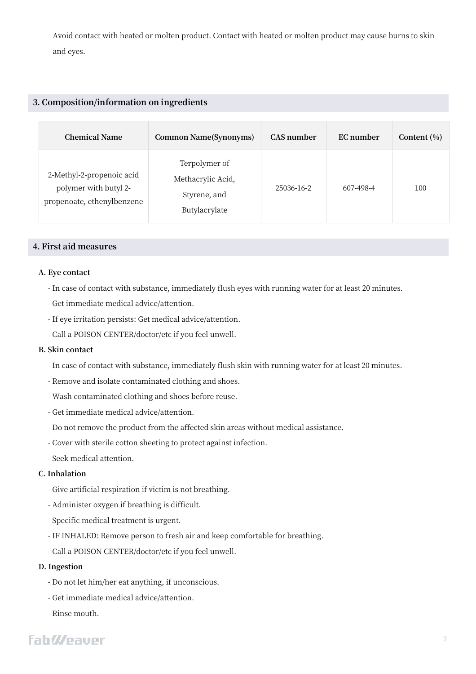Avoid contact with heated or molten product. Contact with heated or molten product may cause burns to skin and eyes.

# **3. Composition/information on ingredients**

| <b>Chemical Name</b>                                                             | Common Name(Synonyms)                                               | CAS number | EC number | Content $(\% )$ |
|----------------------------------------------------------------------------------|---------------------------------------------------------------------|------------|-----------|-----------------|
| 2-Methyl-2-propenoic acid<br>polymer with butyl 2-<br>propenoate, ethenylbenzene | Terpolymer of<br>Methacrylic Acid,<br>Styrene, and<br>Butylacrylate | 25036-16-2 | 607-498-4 | 100             |

# **4. First aid measures**

#### **A. Eye contact**

- In case of contact with substance, immediately flush eyes with running water for at least 20 minutes.
- Get immediate medical advice/attention.
- If eye irritation persists: Get medical advice/attention.
- Call a POISON CENTER/doctor/etc if you feel unwell.

#### **B. Skin contact**

- In case of contact with substance, immediately flush skin with running water for at least 20 minutes.
- Remove and isolate contaminated clothing and shoes.
- Wash contaminated clothing and shoes before reuse.
- Get immediate medical advice/attention.
- Do not remove the product from the affected skin areas without medical assistance.
- Cover with sterile cotton sheeting to protect against infection.
- Seek medical attention.

#### **C. Inhalation**

- Give artificial respiration if victim is not breathing.
- Administer oxygen if breathing is difficult.
- Specific medical treatment is urgent.
- IF INHALED: Remove person to fresh air and keep comfortable for breathing.
- Call a POISON CENTER/doctor/etc if you feel unwell.

# **D. Ingestion**

- Do not let him/her eat anything, if unconscious.
- Get immediate medical advice/attention.
- Rinse mouth.

# **FahWeauer**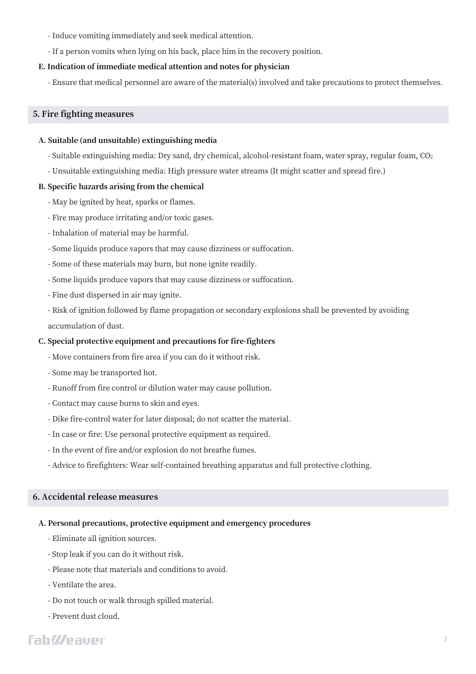- Induce vomiting immediately and seek medical attention.
- If a person vomits when lying on his back, place him in the recovery position.

#### **E. Indication of immediate medical attention and notes for physician**

- Ensure that medical personnel are aware of the material(s) involved and take precautions to protect themselves.

#### **5. Fire fighting measures**

#### **A. Suitable (and unsuitable) extinguishing media**

- Suitable extinguishing media: Dry sand, dry chemical, alcohol-resistant foam, water spray, regular foam, CO<sub>2</sub>
- Unsuitable extinguishing media: High pressure water streams (It might scatter and spread fire.)

#### **B. Specific hazards arising from the chemical**

- May be ignited by heat, sparks or flames.
- Fire may produce irritating and/or toxic gases.
- Inhalation of material may be harmful.
- Some liquids produce vapors that may cause dizziness or suffocation.
- Some of these materials may burn, but none ignite readily.
- Some liquids produce vapors that may cause dizziness or suffocation.
- Fine dust dispersed in air may ignite.
- Risk of ignition followed by flame propagation or secondary explosions shall be prevented by avoiding accumulation of dust.

#### **C. Special protective equipment and precautions for fire-fighters**

- Move containers from fire area if you can do it without risk.
- Some may be transported hot.
- Runoff from fire control or dilution water may cause pollution.
- Contact may cause burns to skin and eyes.
- Dike fire-control water for later disposal; do not scatter the material.
- In case or fire: Use personal protective equipment as required.
- In the event of fire and/or explosion do not breathe fumes.
- Advice to firefighters: Wear self-contained breathing apparatus and full protective clothing.

#### **6. Accidental release measures**

#### **A. Personal precautions, protective equipment and emergency procedures**

- Eliminate all ignition sources.
- Stop leak if you can do it without risk.
- Please note that materials and conditions to avoid.
- Ventilate the area.
- Do not touch or walk through spilled material.
- Prevent dust cloud.

# **FahWeaver**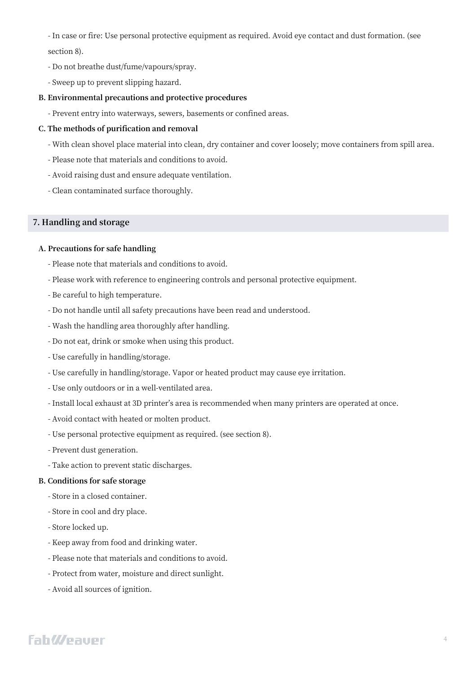- In case or fire: Use personal protective equipment as required. Avoid eye contact and dust formation. (see section 8).

- Do not breathe dust/fume/vapours/spray.
- Sweep up to prevent slipping hazard.

#### **B. Environmental precautions and protective procedures**

- Prevent entry into waterways, sewers, basements or confined areas.

# **C. The methods of purification and removal**

- With clean shovel place material into clean, dry container and cover loosely; move containers from spill area.
- Please note that materials and conditions to avoid.
- Avoid raising dust and ensure adequate ventilation.
- Clean contaminated surface thoroughly.

# **7. Handling and storage**

### **A. Precautions for safe handling**

- Please note that materials and conditions to avoid.
- Please work with reference to engineering controls and personal protective equipment.
- Be careful to high temperature.
- Do not handle until all safety precautions have been read and understood.
- Wash the handling area thoroughly after handling.
- Do not eat, drink or smoke when using this product.
- Use carefully in handling/storage.
- Use carefully in handling/storage. Vapor or heated product may cause eye irritation.
- Use only outdoors or in a well-ventilated area.
- Install local exhaust at 3D printer's area is recommended when many printers are operated at once.
- Avoid contact with heated or molten product.
- Use personal protective equipment as required. (see section 8).
- Prevent dust generation.
- Take action to prevent static discharges.

#### **B. Conditions for safe storage**

- Store in a closed container.
- Store in cool and dry place.
- Store locked up.
- Keep away from food and drinking water.
- Please note that materials and conditions to avoid.
- Protect from water, moisture and direct sunlight.
- Avoid all sources of ignition.

# **FahWeauer**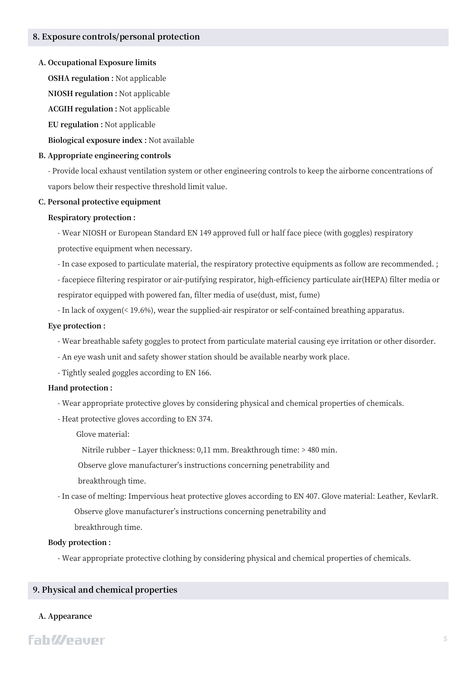#### **A. Occupational Exposure limits**

**OSHA regulation :** Not applicable

**NIOSH regulation :** Not applicable

**ACGIH regulation :** Not applicable

**EU regulation :** Not applicable

**Biological exposure index :** Not available

#### **B. Appropriate engineering controls**

- Provide local exhaust ventilation system or other engineering controls to keep the airborne concentrations of vapors below their respective threshold limit value.

#### **C. Personal protective equipment**

#### **Respiratory protection :**

- Wear NIOSH or European Standard EN 149 approved full or half face piece (with goggles) respiratory protective equipment when necessary.

- In case exposed to particulate material, the respiratory protective equipments as follow are recommended. ;

- facepiece filtering respirator or air-putifying respirator, high-efficiency particulate air(HEPA) filter media or respirator equipped with powered fan, filter media of use(dust, mist, fume)

- In lack of oxygen(< 19.6%), wear the supplied-air respirator or self-contained breathing apparatus.

#### **Eye protection :**

- Wear breathable safety goggles to protect from particulate material causing eye irritation or other disorder.

- An eye wash unit and safety shower station should be available nearby work place.
- Tightly sealed goggles according to EN 166.

#### **Hand protection :**

- Wear appropriate protective gloves by considering physical and chemical properties of chemicals.
- Heat protective gloves according to EN 374.

Glove material:

Nitrile rubber - Layer thickness: 0,11 mm. Breakthrough time: > 480 min.

Observe glove manufacturer's instructions concerning penetrability and

breakthrough time.

- In case of melting: Impervious heat protective gloves according to EN 407. Glove material: Leather, KevlarR. Observe glove manufacturer's instructions concerning penetrability and

breakthrough time.

#### **Body protection :**

- Wear appropriate protective clothing by considering physical and chemical properties of chemicals.

# **9. Physical and chemical properties**

#### **A. Appearance**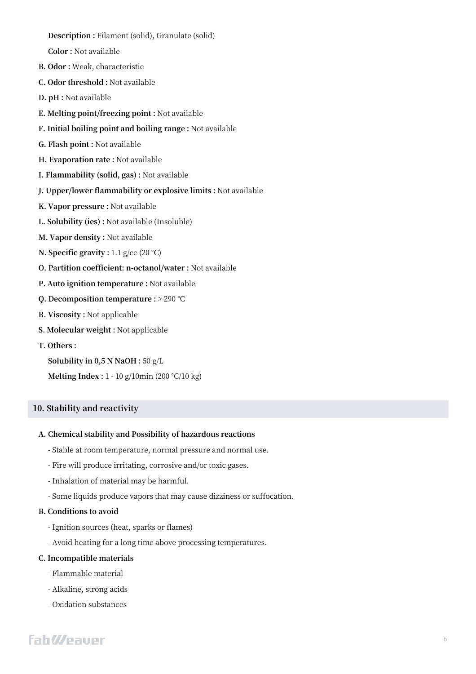- **Description :** Filament (solid), Granulate (solid)
- **Color :** Not available
- **B. Odor :** Weak, characteristic
- **C. Odor threshold :** Not available
- **D. pH :** Not available
- **E. Melting point/freezing point :** Not available
- **F. Initial boiling point and boiling range :** Not available
- **G. Flash point :** Not available
- **H. Evaporation rate :** Not available
- **I. Flammability (solid, gas) :** Not available
- **J. Upper/lower flammability or explosive limits :** Not available
- **K. Vapor pressure :** Not available
- **L. Solubility (ies) :** Not available (Insoluble)
- **M. Vapor density :** Not available
- **N. Specific gravity :** 1.1 g/cc (20 °C)
- **O. Partition coefficient: n-octanol/water :** Not available
- **P. Auto ignition temperature :** Not available
- **Q. Decomposition temperature :** > 290 °C
- **R. Viscosity :** Not applicable
- **S. Molecular weight :** Not applicable
- **T. Others :**
	- **Solubility in 0,5 N NaOH :** 50 g/L
	- **Melting Index :** 1 10 g/10min (200 °C/10 kg)

# **10. Stability and reactivity**

#### **A. Chemical stability and Possibility of hazardous reactions**

- Stable at room temperature, normal pressure and normal use.
- Fire will produce irritating, corrosive and/or toxic gases.
- Inhalation of material may be harmful.
- Some liquids produce vapors that may cause dizziness or suffocation.

#### **B. Conditions to avoid**

- Ignition sources (heat, sparks or flames)
- Avoid heating for a long time above processing temperatures.

#### **C. Incompatible materials**

- Flammable material
- Alkaline, strong acids
- Oxidation substances

# **FahWeaver**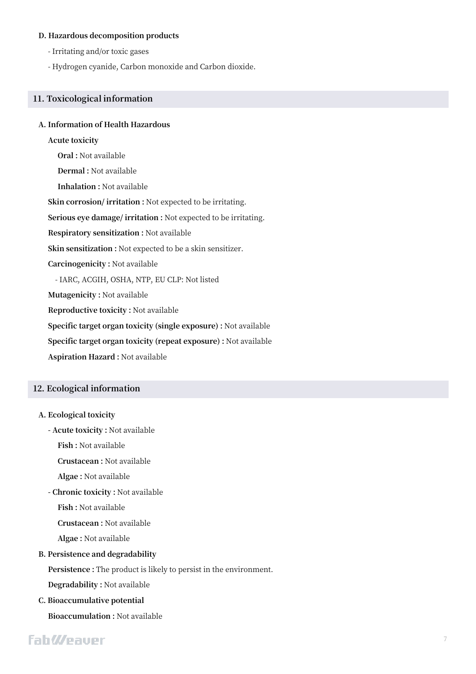#### **D. Hazardous decomposition products**

- Irritating and/or toxic gases
- Hydrogen cyanide, Carbon monoxide and Carbon dioxide.

### **11. Toxicological information**

#### **A. Information of Health Hazardous**

# **Acute toxicity**

**Oral :** Not available **Dermal :** Not available **Inhalation :** Not available **Skin corrosion/ irritation :** Not expected to be irritating. **Serious eye damage/ irritation :** Not expected to be irritating. **Respiratory sensitization :** Not available **Skin sensitization :** Not expected to be a skin sensitizer. **Carcinogenicity :** Not available - IARC, ACGIH, OSHA, NTP, EU CLP: Not listed **Mutagenicity :** Not available **Reproductive toxicity :** Not available **Specific target organ toxicity (single exposure) :** Not available **Specific target organ toxicity (repeat exposure) :** Not available

**Aspiration Hazard :** Not available

# **12. Ecological information**

#### **A. Ecological toxicity**

**- Acute toxicity :** Not available

**Fish :** Not available

**Crustacean :** Not available

**Algae :** Not available

**- Chronic toxicity :** Not available

**Fish :** Not available

**Crustacean :** Not available

**Algae :** Not available

#### **B. Persistence and degradability**

**Persistence :** The product is likely to persist in the environment.

**Degradability :** Not available

**C. Bioaccumulative potential**

**Bioaccumulation :** Not available

# **FahWeaver**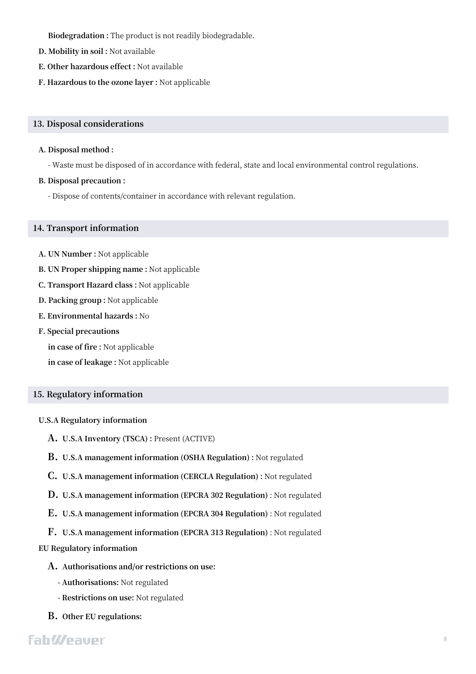**Biodegradation :** The product is not readily biodegradable.

- **D. Mobility in soil :** Not available
- **E. Other hazardous effect :** Not available
- **F. Hazardous to the ozone layer :** Not applicable

#### **13. Disposal considerations**

#### **A. Disposal method :**

- Waste must be disposed of in accordance with federal, state and local environmental control regulations.

### **B. Disposal precaution :**

- Dispose of contents/container in accordance with relevant regulation.

### **14. Transport information**

- **A. UN Number :** Not applicable
- **B. UN Proper shipping name :** Not applicable
- **C. Transport Hazard class :** Not applicable
- **D. Packing group :** Not applicable
- **E. Environmental hazards :** No
- **F. Special precautions**

**in case of fire :** Not applicable

**in case of leakage :** Not applicable

# **15. Regulatory information**

#### **U.S.A Regulatory information**

- **A. U.S.A Inventory (TSCA) :** Present (ACTIVE)
- **B. U.S.A management information (OSHA Regulation) :** Not regulated
- **C. U.S.A management information (CERCLA Regulation) :** Not regulated
- **D. U.S.A management information (EPCRA 302 Regulation)** : Not regulated
- **E. U.S.A management information (EPCRA 304 Regulation)** : Not regulated
- **F. U.S.A management information (EPCRA 313 Regulation)** : Not regulated

# **EU Regulatory information**

- **A. Authorisations and/or restrictions on use:**
	- **- Authorisations:** Not regulated
	- **- Restrictions on use:** Not regulated
- **B. Other EU regulations:**